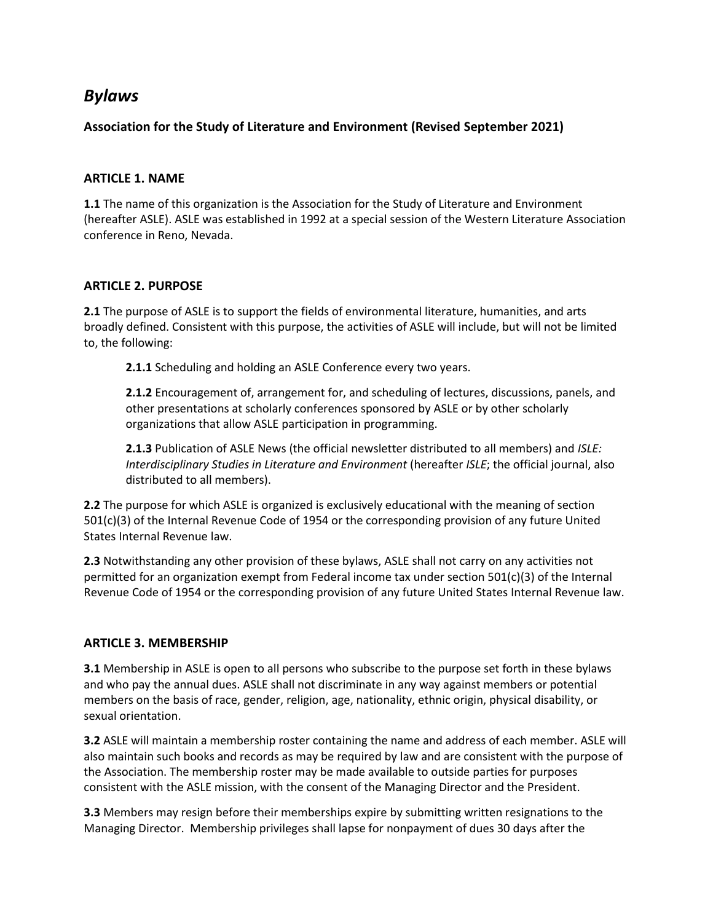# *Bylaws*

## **Association for the Study of Literature and Environment (Revised September 2021)**

#### **ARTICLE 1. NAME**

**1.1** The name of this organization is the Association for the Study of Literature and Environment (hereafter ASLE). ASLE was established in 1992 at a special session of the Western Literature Association conference in Reno, Nevada.

#### **ARTICLE 2. PURPOSE**

**2.1** The purpose of ASLE is to support the fields of environmental literature, humanities, and arts broadly defined. Consistent with this purpose, the activities of ASLE will include, but will not be limited to, the following:

**2.1.1** Scheduling and holding an ASLE Conference every two years.

**2.1.2** Encouragement of, arrangement for, and scheduling of lectures, discussions, panels, and other presentations at scholarly conferences sponsored by ASLE or by other scholarly organizations that allow ASLE participation in programming.

**2.1.3** Publication of ASLE News (the official newsletter distributed to all members) and *ISLE: Interdisciplinary Studies in Literature and Environment* (hereafter *ISLE*; the official journal, also distributed to all members).

**2.2** The purpose for which ASLE is organized is exclusively educational with the meaning of section 501(c)(3) of the Internal Revenue Code of 1954 or the corresponding provision of any future United States Internal Revenue law.

**2.3** Notwithstanding any other provision of these bylaws, ASLE shall not carry on any activities not permitted for an organization exempt from Federal income tax under section 501(c)(3) of the Internal Revenue Code of 1954 or the corresponding provision of any future United States Internal Revenue law.

#### **ARTICLE 3. MEMBERSHIP**

**3.1** Membership in ASLE is open to all persons who subscribe to the purpose set forth in these bylaws and who pay the annual dues. ASLE shall not discriminate in any way against members or potential members on the basis of race, gender, religion, age, nationality, ethnic origin, physical disability, or sexual orientation.

**3.2** ASLE will maintain a membership roster containing the name and address of each member. ASLE will also maintain such books and records as may be required by law and are consistent with the purpose of the Association. The membership roster may be made available to outside parties for purposes consistent with the ASLE mission, with the consent of the Managing Director and the President.

**3.3** Members may resign before their memberships expire by submitting written resignations to the Managing Director. Membership privileges shall lapse for nonpayment of dues 30 days after the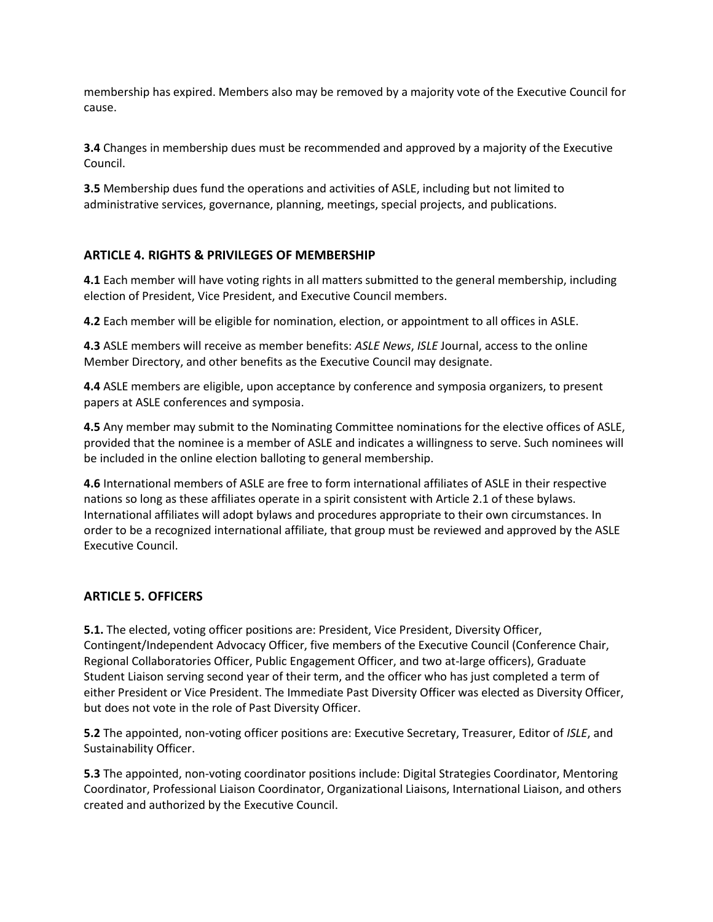membership has expired. Members also may be removed by a majority vote of the Executive Council for cause.

**3.4** Changes in membership dues must be recommended and approved by a majority of the Executive Council.

**3.5** Membership dues fund the operations and activities of ASLE, including but not limited to administrative services, governance, planning, meetings, special projects, and publications.

#### **ARTICLE 4. RIGHTS & PRIVILEGES OF MEMBERSHIP**

**4.1** Each member will have voting rights in all matters submitted to the general membership, including election of President, Vice President, and Executive Council members.

**4.2** Each member will be eligible for nomination, election, or appointment to all offices in ASLE.

**4.3** ASLE members will receive as member benefits: *ASLE News*, *ISLE* Journal, access to the online Member Directory, and other benefits as the Executive Council may designate.

**4.4** ASLE members are eligible, upon acceptance by conference and symposia organizers, to present papers at ASLE conferences and symposia.

**4.5** Any member may submit to the Nominating Committee nominations for the elective offices of ASLE, provided that the nominee is a member of ASLE and indicates a willingness to serve. Such nominees will be included in the online election balloting to general membership.

**4.6** International members of ASLE are free to form international affiliates of ASLE in their respective nations so long as these affiliates operate in a spirit consistent with Article 2.1 of these bylaws. International affiliates will adopt bylaws and procedures appropriate to their own circumstances. In order to be a recognized international affiliate, that group must be reviewed and approved by the ASLE Executive Council.

#### **ARTICLE 5. OFFICERS**

**5.1.** The elected, voting officer positions are: President, Vice President, Diversity Officer, Contingent/Independent Advocacy Officer, five members of the Executive Council (Conference Chair, Regional Collaboratories Officer, Public Engagement Officer, and two at-large officers), Graduate Student Liaison serving second year of their term, and the officer who has just completed a term of either President or Vice President. The Immediate Past Diversity Officer was elected as Diversity Officer, but does not vote in the role of Past Diversity Officer.

**5.2** The appointed, non-voting officer positions are: Executive Secretary, Treasurer, Editor of *ISLE*, and Sustainability Officer.

**5.3** The appointed, non-voting coordinator positions include: Digital Strategies Coordinator, Mentoring Coordinator, Professional Liaison Coordinator, Organizational Liaisons, International Liaison, and others created and authorized by the Executive Council.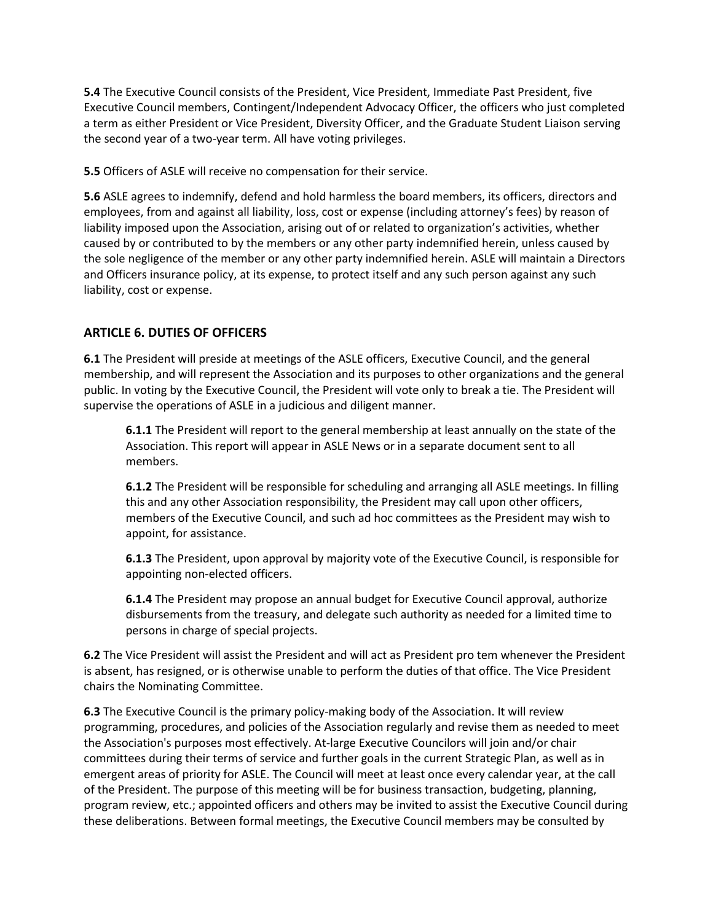**5.4** The Executive Council consists of the President, Vice President, Immediate Past President, five Executive Council members, Contingent/Independent Advocacy Officer, the officers who just completed a term as either President or Vice President, Diversity Officer, and the Graduate Student Liaison serving the second year of a two-year term. All have voting privileges.

**5.5** Officers of ASLE will receive no compensation for their service.

**5.6** ASLE agrees to indemnify, defend and hold harmless the board members, its officers, directors and employees, from and against all liability, loss, cost or expense (including attorney's fees) by reason of liability imposed upon the Association, arising out of or related to organization's activities, whether caused by or contributed to by the members or any other party indemnified herein, unless caused by the sole negligence of the member or any other party indemnified herein. ASLE will maintain a Directors and Officers insurance policy, at its expense, to protect itself and any such person against any such liability, cost or expense.

## **ARTICLE 6. DUTIES OF OFFICERS**

**6.1** The President will preside at meetings of the ASLE officers, Executive Council, and the general membership, and will represent the Association and its purposes to other organizations and the general public. In voting by the Executive Council, the President will vote only to break a tie. The President will supervise the operations of ASLE in a judicious and diligent manner.

**6.1.1** The President will report to the general membership at least annually on the state of the Association. This report will appear in ASLE News or in a separate document sent to all members.

**6.1.2** The President will be responsible for scheduling and arranging all ASLE meetings. In filling this and any other Association responsibility, the President may call upon other officers, members of the Executive Council, and such ad hoc committees as the President may wish to appoint, for assistance.

**6.1.3** The President, upon approval by majority vote of the Executive Council, is responsible for appointing non-elected officers.

**6.1.4** The President may propose an annual budget for Executive Council approval, authorize disbursements from the treasury, and delegate such authority as needed for a limited time to persons in charge of special projects.

**6.2** The Vice President will assist the President and will act as President pro tem whenever the President is absent, has resigned, or is otherwise unable to perform the duties of that office. The Vice President chairs the Nominating Committee.

**6.3** The Executive Council is the primary policy-making body of the Association. It will review programming, procedures, and policies of the Association regularly and revise them as needed to meet the Association's purposes most effectively. At-large Executive Councilors will join and/or chair committees during their terms of service and further goals in the current Strategic Plan, as well as in emergent areas of priority for ASLE. The Council will meet at least once every calendar year, at the call of the President. The purpose of this meeting will be for business transaction, budgeting, planning, program review, etc.; appointed officers and others may be invited to assist the Executive Council during these deliberations. Between formal meetings, the Executive Council members may be consulted by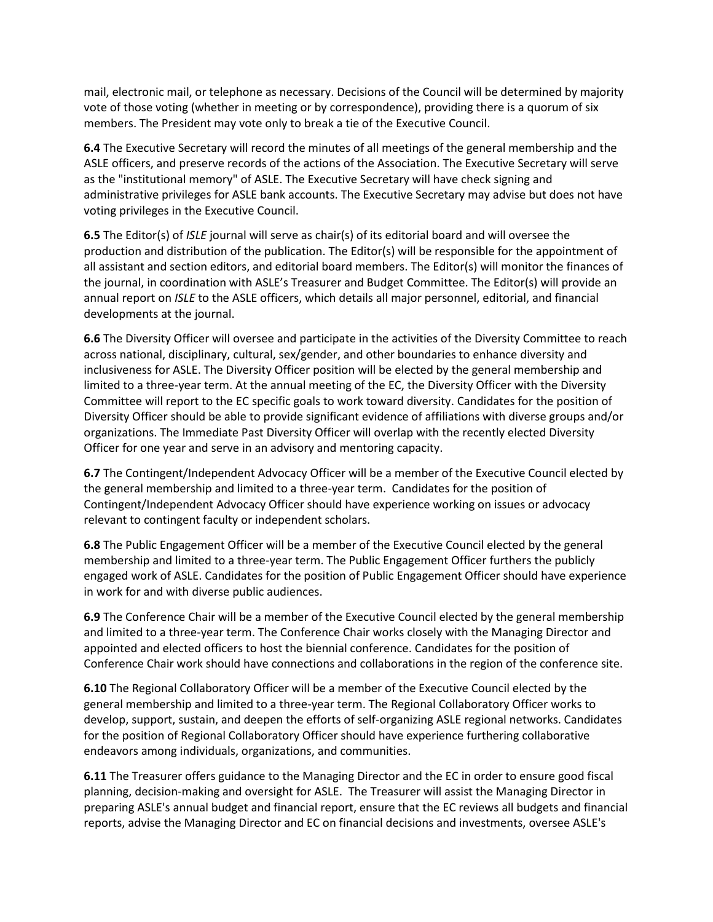mail, electronic mail, or telephone as necessary. Decisions of the Council will be determined by majority vote of those voting (whether in meeting or by correspondence), providing there is a quorum of six members. The President may vote only to break a tie of the Executive Council.

**6.4** The Executive Secretary will record the minutes of all meetings of the general membership and the ASLE officers, and preserve records of the actions of the Association. The Executive Secretary will serve as the "institutional memory" of ASLE. The Executive Secretary will have check signing and administrative privileges for ASLE bank accounts. The Executive Secretary may advise but does not have voting privileges in the Executive Council.

**6.5** The Editor(s) of *ISLE* journal will serve as chair(s) of its editorial board and will oversee the production and distribution of the publication. The Editor(s) will be responsible for the appointment of all assistant and section editors, and editorial board members. The Editor(s) will monitor the finances of the journal, in coordination with ASLE's Treasurer and Budget Committee. The Editor(s) will provide an annual report on *ISLE* to the ASLE officers, which details all major personnel, editorial, and financial developments at the journal.

**6.6** The Diversity Officer will oversee and participate in the activities of the Diversity Committee to reach across national, disciplinary, cultural, sex/gender, and other boundaries to enhance diversity and inclusiveness for ASLE. The Diversity Officer position will be elected by the general membership and limited to a three-year term. At the annual meeting of the EC, the Diversity Officer with the Diversity Committee will report to the EC specific goals to work toward diversity. Candidates for the position of Diversity Officer should be able to provide significant evidence of affiliations with diverse groups and/or organizations. The Immediate Past Diversity Officer will overlap with the recently elected Diversity Officer for one year and serve in an advisory and mentoring capacity.

**6.7** The Contingent/Independent Advocacy Officer will be a member of the Executive Council elected by the general membership and limited to a three-year term. Candidates for the position of Contingent/Independent Advocacy Officer should have experience working on issues or advocacy relevant to contingent faculty or independent scholars.

**6.8** The Public Engagement Officer will be a member of the Executive Council elected by the general membership and limited to a three-year term. The Public Engagement Officer furthers the publicly engaged work of ASLE. Candidates for the position of Public Engagement Officer should have experience in work for and with diverse public audiences.

**6.9** The Conference Chair will be a member of the Executive Council elected by the general membership and limited to a three-year term. The Conference Chair works closely with the Managing Director and appointed and elected officers to host the biennial conference. Candidates for the position of Conference Chair work should have connections and collaborations in the region of the conference site.

**6.10** The Regional Collaboratory Officer will be a member of the Executive Council elected by the general membership and limited to a three-year term. The Regional Collaboratory Officer works to develop, support, sustain, and deepen the efforts of self-organizing ASLE regional networks. Candidates for the position of Regional Collaboratory Officer should have experience furthering collaborative endeavors among individuals, organizations, and communities.

**6.11** The Treasurer offers guidance to the Managing Director and the EC in order to ensure good fiscal planning, decision-making and oversight for ASLE. The Treasurer will assist the Managing Director in preparing ASLE's annual budget and financial report, ensure that the EC reviews all budgets and financial reports, advise the Managing Director and EC on financial decisions and investments, oversee ASLE's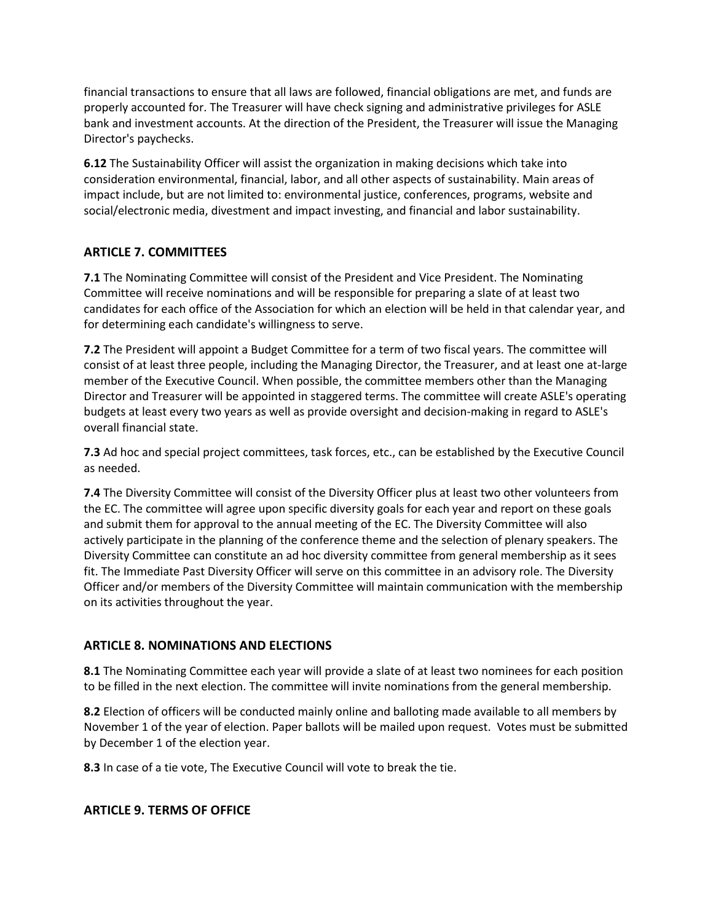financial transactions to ensure that all laws are followed, financial obligations are met, and funds are properly accounted for. The Treasurer will have check signing and administrative privileges for ASLE bank and investment accounts. At the direction of the President, the Treasurer will issue the Managing Director's paychecks.

**6.12** The Sustainability Officer will assist the organization in making decisions which take into consideration environmental, financial, labor, and all other aspects of sustainability. Main areas of impact include, but are not limited to: environmental justice, conferences, programs, website and social/electronic media, divestment and impact investing, and financial and labor sustainability.

#### **ARTICLE 7. COMMITTEES**

**7.1** The Nominating Committee will consist of the President and Vice President. The Nominating Committee will receive nominations and will be responsible for preparing a slate of at least two candidates for each office of the Association for which an election will be held in that calendar year, and for determining each candidate's willingness to serve.

**7.2** The President will appoint a Budget Committee for a term of two fiscal years. The committee will consist of at least three people, including the Managing Director, the Treasurer, and at least one at-large member of the Executive Council. When possible, the committee members other than the Managing Director and Treasurer will be appointed in staggered terms. The committee will create ASLE's operating budgets at least every two years as well as provide oversight and decision-making in regard to ASLE's overall financial state.

**7.3** Ad hoc and special project committees, task forces, etc., can be established by the Executive Council as needed.

**7.4** The Diversity Committee will consist of the Diversity Officer plus at least two other volunteers from the EC. The committee will agree upon specific diversity goals for each year and report on these goals and submit them for approval to the annual meeting of the EC. The Diversity Committee will also actively participate in the planning of the conference theme and the selection of plenary speakers. The Diversity Committee can constitute an ad hoc diversity committee from general membership as it sees fit. The Immediate Past Diversity Officer will serve on this committee in an advisory role. The Diversity Officer and/or members of the Diversity Committee will maintain communication with the membership on its activities throughout the year.

#### **ARTICLE 8. NOMINATIONS AND ELECTIONS**

**8.1** The Nominating Committee each year will provide a slate of at least two nominees for each position to be filled in the next election. The committee will invite nominations from the general membership.

**8.2** Election of officers will be conducted mainly online and balloting made available to all members by November 1 of the year of election. Paper ballots will be mailed upon request. Votes must be submitted by December 1 of the election year.

**8.3** In case of a tie vote, The Executive Council will vote to break the tie.

#### **ARTICLE 9. TERMS OF OFFICE**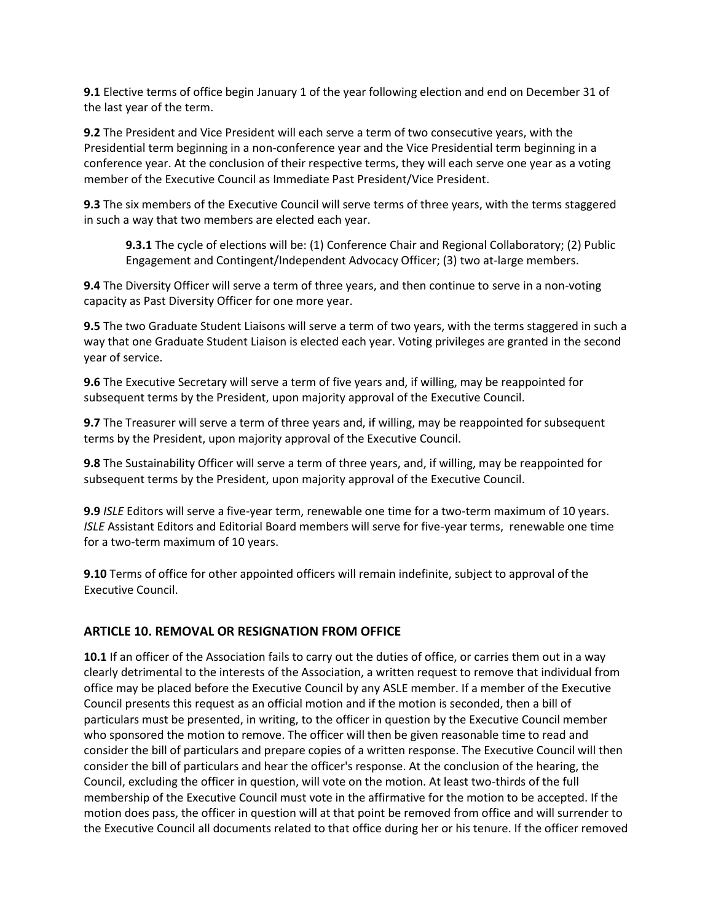**9.1** Elective terms of office begin January 1 of the year following election and end on December 31 of the last year of the term.

**9.2** The President and Vice President will each serve a term of two consecutive years, with the Presidential term beginning in a non-conference year and the Vice Presidential term beginning in a conference year. At the conclusion of their respective terms, they will each serve one year as a voting member of the Executive Council as Immediate Past President/Vice President.

**9.3** The six members of the Executive Council will serve terms of three years, with the terms staggered in such a way that two members are elected each year.

**9.3.1** The cycle of elections will be: (1) Conference Chair and Regional Collaboratory; (2) Public Engagement and Contingent/Independent Advocacy Officer; (3) two at-large members.

**9.4** The Diversity Officer will serve a term of three years, and then continue to serve in a non-voting capacity as Past Diversity Officer for one more year.

**9.5** The two Graduate Student Liaisons will serve a term of two years, with the terms staggered in such a way that one Graduate Student Liaison is elected each year. Voting privileges are granted in the second year of service.

**9.6** The Executive Secretary will serve a term of five years and, if willing, may be reappointed for subsequent terms by the President, upon majority approval of the Executive Council.

**9.7** The Treasurer will serve a term of three years and, if willing, may be reappointed for subsequent terms by the President, upon majority approval of the Executive Council.

**9.8** The Sustainability Officer will serve a term of three years, and, if willing, may be reappointed for subsequent terms by the President, upon majority approval of the Executive Council.

**9.9** *ISLE* Editors will serve a five-year term, renewable one time for a two-term maximum of 10 years. *ISLE* Assistant Editors and Editorial Board members will serve for five-year terms, renewable one time for a two-term maximum of 10 years.

**9.10** Terms of office for other appointed officers will remain indefinite, subject to approval of the Executive Council.

#### **ARTICLE 10. REMOVAL OR RESIGNATION FROM OFFICE**

**10.1** If an officer of the Association fails to carry out the duties of office, or carries them out in a way clearly detrimental to the interests of the Association, a written request to remove that individual from office may be placed before the Executive Council by any ASLE member. If a member of the Executive Council presents this request as an official motion and if the motion is seconded, then a bill of particulars must be presented, in writing, to the officer in question by the Executive Council member who sponsored the motion to remove. The officer will then be given reasonable time to read and consider the bill of particulars and prepare copies of a written response. The Executive Council will then consider the bill of particulars and hear the officer's response. At the conclusion of the hearing, the Council, excluding the officer in question, will vote on the motion. At least two-thirds of the full membership of the Executive Council must vote in the affirmative for the motion to be accepted. If the motion does pass, the officer in question will at that point be removed from office and will surrender to the Executive Council all documents related to that office during her or his tenure. If the officer removed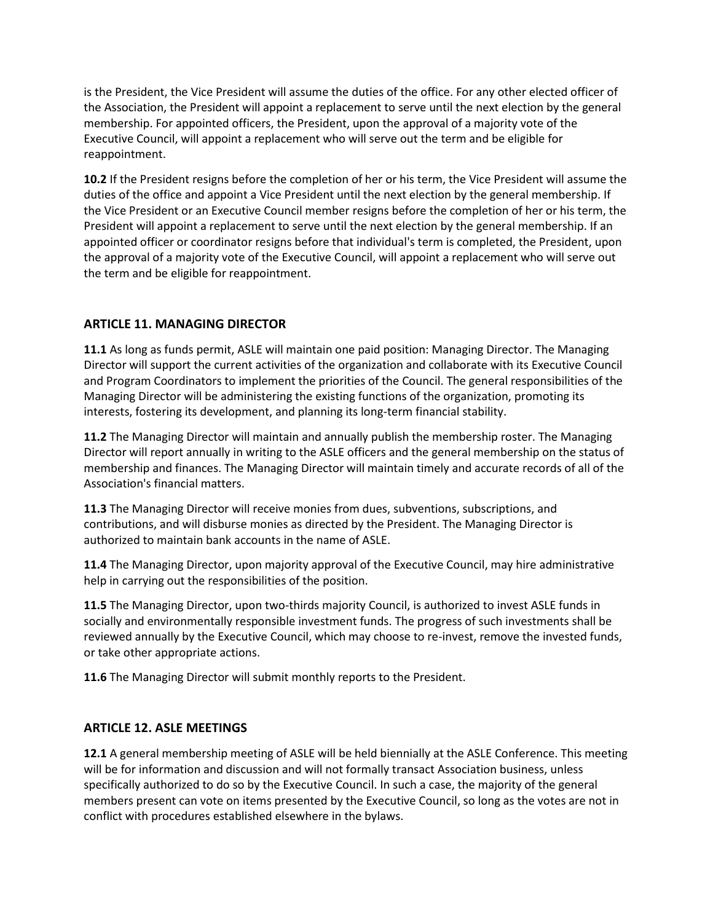is the President, the Vice President will assume the duties of the office. For any other elected officer of the Association, the President will appoint a replacement to serve until the next election by the general membership. For appointed officers, the President, upon the approval of a majority vote of the Executive Council, will appoint a replacement who will serve out the term and be eligible for reappointment.

**10.2** If the President resigns before the completion of her or his term, the Vice President will assume the duties of the office and appoint a Vice President until the next election by the general membership. If the Vice President or an Executive Council member resigns before the completion of her or his term, the President will appoint a replacement to serve until the next election by the general membership. If an appointed officer or coordinator resigns before that individual's term is completed, the President, upon the approval of a majority vote of the Executive Council, will appoint a replacement who will serve out the term and be eligible for reappointment.

## **ARTICLE 11. MANAGING DIRECTOR**

**11.1** As long as funds permit, ASLE will maintain one paid position: Managing Director. The Managing Director will support the current activities of the organization and collaborate with its Executive Council and Program Coordinators to implement the priorities of the Council. The general responsibilities of the Managing Director will be administering the existing functions of the organization, promoting its interests, fostering its development, and planning its long-term financial stability.

**11.2** The Managing Director will maintain and annually publish the membership roster. The Managing Director will report annually in writing to the ASLE officers and the general membership on the status of membership and finances. The Managing Director will maintain timely and accurate records of all of the Association's financial matters.

**11.3** The Managing Director will receive monies from dues, subventions, subscriptions, and contributions, and will disburse monies as directed by the President. The Managing Director is authorized to maintain bank accounts in the name of ASLE.

**11.4** The Managing Director, upon majority approval of the Executive Council, may hire administrative help in carrying out the responsibilities of the position.

**11.5** The Managing Director, upon two-thirds majority Council, is authorized to invest ASLE funds in socially and environmentally responsible investment funds. The progress of such investments shall be reviewed annually by the Executive Council, which may choose to re-invest, remove the invested funds, or take other appropriate actions.

**11.6** The Managing Director will submit monthly reports to the President.

#### **ARTICLE 12. ASLE MEETINGS**

**12.1** A general membership meeting of ASLE will be held biennially at the ASLE Conference. This meeting will be for information and discussion and will not formally transact Association business, unless specifically authorized to do so by the Executive Council. In such a case, the majority of the general members present can vote on items presented by the Executive Council, so long as the votes are not in conflict with procedures established elsewhere in the bylaws.